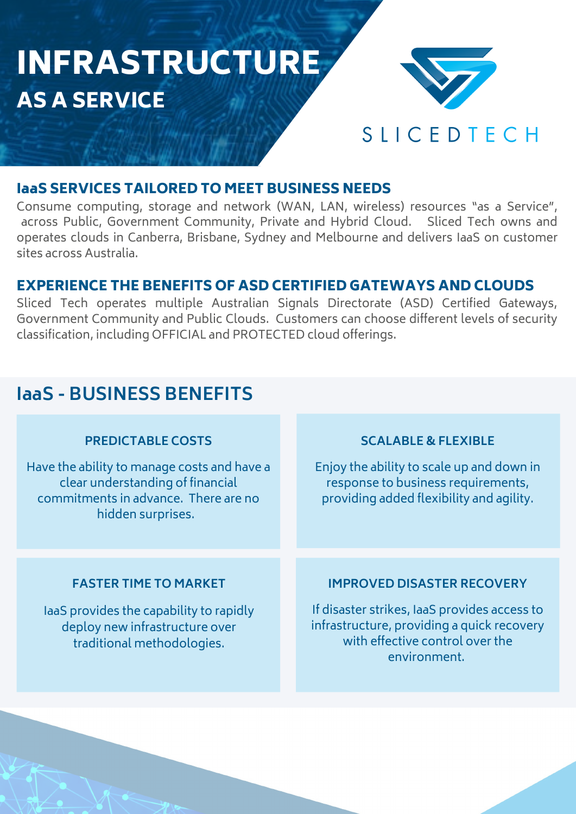# INFRASTRUCTURE AS A SERVICE



# SLICEDTECH

# IaaS SERVICES TAILORED TO MEET BUSINESS NEEDS

Consume computing, storage and network (WAN, LAN, wireless) resources "as a Service", across Public, Government Community, Private and Hybrid Cloud. Sliced Tech owns and operates clouds in Canberra, Brisbane, Sydney and Melbourne and delivers IaaS on customer sites across Australia.

## EXPERIENCE THE BENEFITS OF ASD CERTIFIED GATEWAYS AND CLOUDS

Sliced Tech operates multiple Australian Signals Directorate (ASD) Certified Gateways, Government Community and Public Clouds. Customers can choose different levels of security classification, including OFFICIAL and PROTECTED cloud offerings.

# **IaaS - BUSINESS BENEFITS**

### **PREDICTABLE COSTS**

Have the ability to manage costs and have a clear understanding of financial commitments in advance. There are no hidden surprises.

### **SCALABLE & FLEXIBLE**

Enjoy the ability to scale up and down in response to business requirements, providing added flexibility and agility.

### **FASTER TIME TO MARKET**

IaaS provides the capability to rapidly deploy new infrastructure over traditional methodologies.

## **IMPROVED DISASTER RECOVERY**

If disaster strikes, IaaS provides access to infrastructure, providing a quick recovery with effective control over the environment.